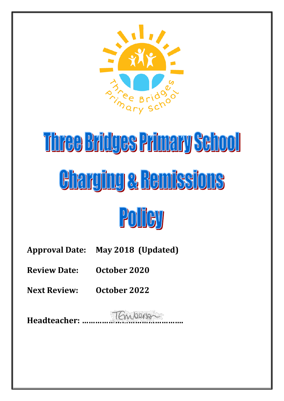

# Three Bridges Primary School **Charging & Bemissions**



**Approval Date: May 2018 (Updated)**

**Review Date: October 2020**

**Next Review: October 2022**

**Headteacher: ……………………………………….**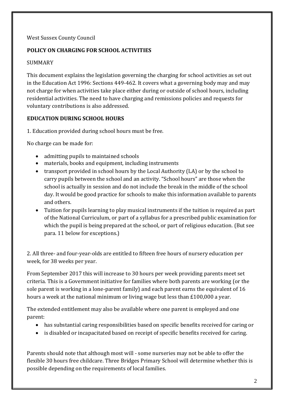#### West Sussex County Council

# **POLICY ON CHARGING FOR SCHOOL ACTIVITIES**

#### **SUMMARY**

This document explains the legislation governing the charging for school activities as set out in the Education Act 1996: Sections 449-462. It covers what a governing body may and may not charge for when activities take place either during or outside of school hours, including residential activities. The need to have charging and remissions policies and requests for voluntary contributions is also addressed.

#### **EDUCATION DURING SCHOOL HOURS**

1. Education provided during school hours must be free.

No charge can be made for:

- admitting pupils to maintained schools
- materials, books and equipment, including instruments
- transport provided in school hours by the Local Authority (LA) or by the school to carry pupils between the school and an activity. "School hours" are those when the school is actually in session and do not include the break in the middle of the school day. It would be good practice for schools to make this information available to parents and others.
- Tuition for pupils learning to play musical instruments if the tuition is required as part of the National Curriculum, or part of a syllabus for a prescribed public examination for which the pupil is being prepared at the school, or part of religious education. (But see para. 11 below for exceptions.)

2. All three- and four-year-olds are entitled to fifteen free hours of nursery education per week, for 38 weeks per year.

From September 2017 this will increase to 30 hours per week providing parents meet set criteria. This is a Government initiative for families where both parents are working (or the sole parent is working in a lone-parent family) and each parent earns the equivalent of 16 hours a week at the national [minimum](https://www.gov.uk/national-minimum-wage-rates) or living wage but less than £100,000 a year.

The extended entitlement may also be available where one parent is employed and one parent:

- has substantial caring responsibilities based on specific benefits received for caring or
- is disabled or incapacitated based on receipt of specific benefits received for caring.

Parents should note that although most will - some nurseries may not be able to offer the flexible 30 hours free childcare. Three Bridges Primary School will determine whether this is possible depending on the requirements of local families.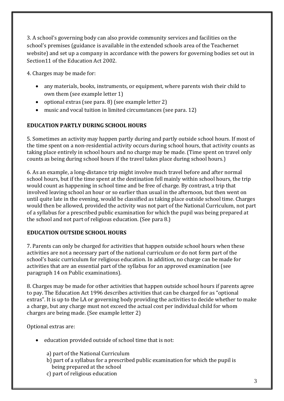3. A school's governing body can also provide community services and facilities on the school's premises (guidance is available in the extended schools area of the Teachernet website) and set up a company in accordance with the powers for governing bodies set out in Section11 of the Education Act 2002.

4. Charges may be made for:

- any materials, books, instruments, or equipment, where parents wish their child to own them (see example letter 1)
- optional extras (see para. 8) (see example letter 2)
- music and vocal tuition in limited circumstances (see para. 12)

## **EDUCATION PARTLY DURING SCHOOL HOURS**

5. Sometimes an activity may happen partly during and partly outside school hours. If most of the time spent on a non-residential activity occurs during school hours, that activity counts as taking place entirely in school hours and no charge may be made. (Time spent on travel only counts as being during school hours if the travel takes place during school hours.)

6. As an example, a long-distance trip might involve much travel before and after normal school hours, but if the time spent at the destination fell mainly within school hours, the trip would count as happening in school time and be free of charge. By contrast, a trip that involved leaving school an hour or so earlier than usual in the afternoon, but then went on until quite late in the evening, would be classified as taking place outside school time. Charges would then be allowed, provided the activity was not part of the National Curriculum, not part of a syllabus for a prescribed public examination for which the pupil was being prepared at the school and not part of religious education. (See para 8.)

#### **EDUCATION OUTSIDE SCHOOL HOURS**

7. Parents can only be charged for activities that happen outside school hours when these activities are not a necessary part of the national curriculum or do not form part of the school's basic curriculum for religious education. In addition, no charge can be made for activities that are an essential part of the syllabus for an approved examination (see paragraph 14 on Public examinations).

8. Charges may be made for other activities that happen outside school hours if parents agree to pay. The Education Act 1996 describes activities that can be charged for as "optional extras". It is up to the LA or governing body providing the activities to decide whether to make a charge, but any charge must not exceed the actual cost per individual child for whom charges are being made. (See example letter 2)

Optional extras are:

- education provided outside of school time that is not:
	- a) part of the National Curriculum
	- b) part of a syllabus for a prescribed public examination for which the pupil is being prepared at the school
	- c) part of religious education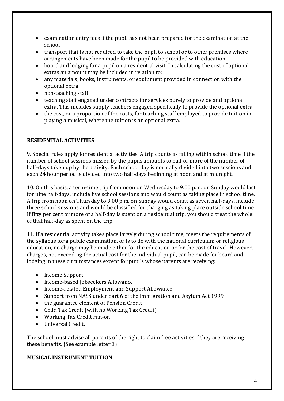- examination entry fees if the pupil has not been prepared for the examination at the school
- transport that is not required to take the pupil to school or to other premises where arrangements have been made for the pupil to be provided with education
- board and lodging for a pupil on a residential visit. In calculating the cost of optional extras an amount may be included in relation to:
- any materials, books, instruments, or equipment provided in connection with the optional extra
- non-teaching staff
- teaching staff engaged under contracts for services purely to provide and optional extra. This includes supply teachers engaged specifically to provide the optional extra
- the cost, or a proportion of the costs, for teaching staff employed to provide tuition in playing a musical, where the tuition is an optional extra.

## **RESIDENTIAL ACTIVITIES**

9. Special rules apply for residential activities. A trip counts as falling within school time if the number of school sessions missed by the pupils amounts to half or more of the number of half-days taken up by the activity. Each school day is normally divided into two sessions and each 24 hour period is divided into two half-days beginning at noon and at midnight.

10. On this basis, a term-time trip from noon on Wednesday to 9.00 p.m. on Sunday would last for nine half-days, include five school sessions and would count as taking place in school time. A trip from noon on Thursday to 9.00 p.m. on Sunday would count as seven half-days, include three school sessions and would be classified for charging as taking place outside school time. If fifty per cent or more of a half-day is spent on a residential trip, you should treat the whole of that half-day as spent on the trip.

11. If a residential activity takes place largely during school time, meets the requirements of the syllabus for a public examination, or is to do with the national curriculum or religious education, no charge may be made either for the education or for the cost of travel. However, charges, not exceeding the actual cost for the individual pupil, can be made for board and lodging in these circumstances except for pupils whose parents are receiving:

- Income Support
- Income-based Jobseekers Allowance
- Income-related Employment and Support Allowance
- Support from NASS under part 6 of the Immigration and Asylum Act 1999
- the guarantee element of Pension Credit
- Child Tax Credit (with no Working Tax Credit)
- Working Tax Credit run-on
- Universal Credit.

The school must advise all parents of the right to claim free activities if they are receiving these benefits. (See example letter 3)

#### **MUSICAL INSTRUMENT TUITION**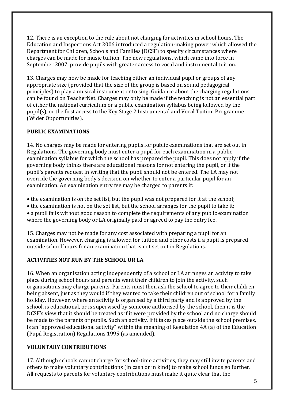12. There is an exception to the rule about not charging for activities in school hours. The Education and Inspections Act 2006 introduced a regulation-making power which allowed the Department for Children, Schools and Families (DCSF) to specify circumstances where charges can be made for music tuition. The new regulations, which came into force in September 2007, provide pupils with greater access to vocal and instrumental tuition.

13. Charges may now be made for teaching either an individual pupil or groups of any appropriate size (provided that the size of the group is based on sound pedagogical principles) to play a musical instrument or to sing. Guidance about the charging regulations can be found on TeacherNet. Charges may only be made if the teaching is not an essential part of either the national curriculum or a public examination syllabus being followed by the pupil(s), or the first access to the Key Stage 2 Instrumental and Vocal Tuition Programme (Wider Opportunities).

#### **PUBLIC EXAMINATIONS**

14. No charges may be made for entering pupils for public examinations that are set out in Regulations. The governing body must enter a pupil for each examination in a public examination syllabus for which the school has prepared the pupil. This does not apply if the governing body thinks there are educational reasons for not entering the pupil, or if the pupil's parents request in writing that the pupil should not be entered. The LA may not override the governing body's decision on whether to enter a particular pupil for an examination. An examination entry fee may be charged to parents if:

- the examination is on the set list, but the pupil was not prepared for it at the school;
- the examination is not on the set list, but the school arranges for the pupil to take it;

 a pupil fails without good reason to complete the requirements of any public examination where the governing body or LA originally paid or agreed to pay the entry fee.

15. Charges may not be made for any cost associated with preparing a pupil for an examination. However, charging is allowed for tuition and other costs if a pupil is prepared outside school hours for an examination that is not set out in Regulations.

# **ACTIVITIES NOT RUN BY THE SCHOOL OR LA**

16. When an organisation acting independently of a school or LA arranges an activity to take place during school hours and parents want their children to join the activity, such organisations may charge parents. Parents must then ask the school to agree to their children being absent, just as they would if they wanted to take their children out of school for a family holiday. However, where an activity is organised by a third party and is approved by the school, is educational, or is supervised by someone authorised by the school, then it is the DCSF's view that it should be treated as if it were provided by the school and no charge should be made to the parents or pupils. Such an activity, if it takes place outside the school premises, is an "approved educational activity" within the meaning of Regulation 4A (a) of the Education (Pupil Registration) Regulations 1995 (as amended).

# **VOLUNTARY CONTRIBUTIONS**

17. Although schools cannot charge for school-time activities, they may still invite parents and others to make voluntary contributions (in cash or in kind) to make school funds go further. All requests to parents for voluntary contributions must make it quite clear that the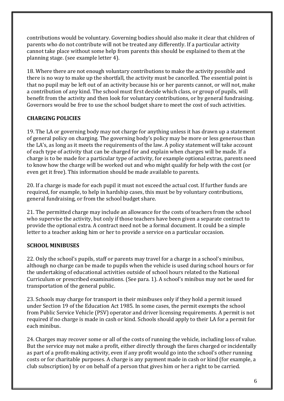contributions would be voluntary. Governing bodies should also make it clear that children of parents who do not contribute will not be treated any differently. If a particular activity cannot take place without some help from parents this should be explained to them at the planning stage. (see example letter 4).

18. Where there are not enough voluntary contributions to make the activity possible and there is no way to make up the shortfall, the activity must be cancelled. The essential point is that no pupil may be left out of an activity because his or her parents cannot, or will not, make a contribution of any kind. The school must first decide which class, or group of pupils, will benefit from the activity and then look for voluntary contributions, or by general fundraising. Governors would be free to use the school budget share to meet the cost of such activities.

## **CHARGING POLICIES**

19. The LA or governing body may not charge for anything unless it has drawn up a statement of general policy on charging. The governing body's policy may be more or less generous than the LA's, as long as it meets the requirements of the law. A policy statement will take account of each type of activity that can be charged for and explain when charges will be made. If a charge is to be made for a particular type of activity, for example optional extras, parents need to know how the charge will be worked out and who might qualify for help with the cost (or even get it free). This information should be made available to parents.

20. If a charge is made for each pupil it must not exceed the actual cost. If further funds are required, for example, to help in hardship cases, this must be by voluntary contributions, general fundraising, or from the school budget share.

21. The permitted charge may include an allowance for the costs of teachers from the school who supervise the activity, but only if those teachers have been given a separate contract to provide the optional extra. A contract need not be a formal document. It could be a simple letter to a teacher asking him or her to provide a service on a particular occasion.

#### **SCHOOL MINIBUSES**

22. Only the school's pupils, staff or parents may travel for a charge in a school's minibus, although no charge can be made to pupils when the vehicle is used during school hours or for the undertaking of educational activities outside of school hours related to the National Curriculum or prescribed examinations. (See para. 1). A school's minibus may not be used for transportation of the general public.

23. Schools may charge for transport in their minibuses only if they hold a permit issued under Section 19 of the Education Act 1985. In some cases, the permit exempts the school from Public Service Vehicle (PSV) operator and driver licensing requirements. A permit is not required if no charge is made in cash or kind. Schools should apply to their LA for a permit for each minibus.

24. Charges may recover some or all of the costs of running the vehicle, including loss of value. But the service may not make a profit, either directly through the fares charged or incidentally as part of a profit-making activity, even if any profit would go into the school's other running costs or for charitable purposes. A charge is any payment made in cash or kind (for example, a club subscription) by or on behalf of a person that gives him or her a right to be carried.